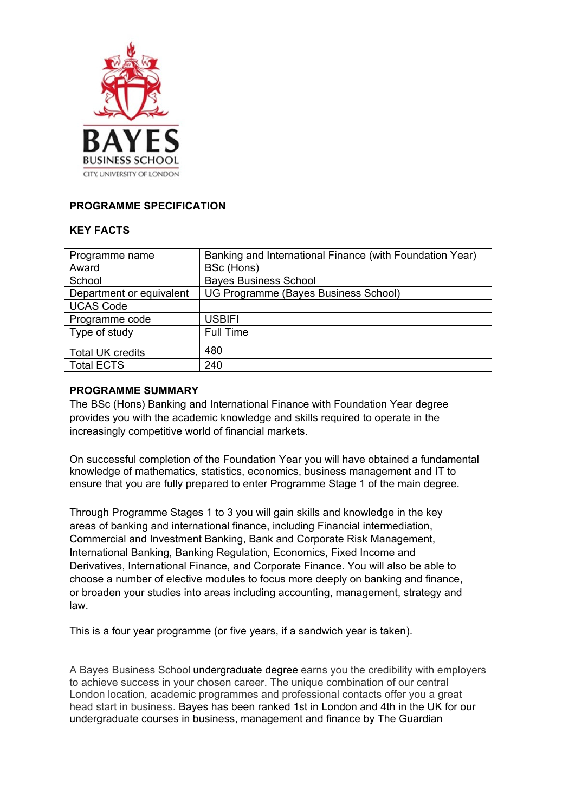

## **PROGRAMME SPECIFICATION**

## **KEY FACTS**

| Programme name           | Banking and International Finance (with Foundation Year) |
|--------------------------|----------------------------------------------------------|
| Award                    | BSc (Hons)                                               |
| School                   | <b>Bayes Business School</b>                             |
| Department or equivalent | UG Programme (Bayes Business School)                     |
| <b>UCAS Code</b>         |                                                          |
| Programme code           | <b>USBIFI</b>                                            |
| Type of study            | <b>Full Time</b>                                         |
| <b>Total UK credits</b>  | 480                                                      |
| <b>Total ECTS</b>        | 240                                                      |
|                          |                                                          |

### **PROGRAMME SUMMARY**

The BSc (Hons) Banking and International Finance with Foundation Year degree provides you with the academic knowledge and skills required to operate in the increasingly competitive world of financial markets.

On successful completion of the Foundation Year you will have obtained a fundamental knowledge of mathematics, statistics, economics, business management and IT to ensure that you are fully prepared to enter Programme Stage 1 of the main degree.

Through Programme Stages 1 to 3 you will gain skills and knowledge in the key areas of banking and international finance, including Financial intermediation, Commercial and Investment Banking, Bank and Corporate Risk Management, International Banking, Banking Regulation, Economics, Fixed Income and Derivatives, International Finance, and Corporate Finance. You will also be able to choose a number of elective modules to focus more deeply on banking and finance, or broaden your studies into areas including accounting, management, strategy and law.

This is a four year programme (or five years, if a sandwich year is taken).

A Bayes Business School undergraduate degree earns you the credibility with employers to achieve success in your chosen career. The unique combination of our central London location, academic programmes and professional contacts offer you a great head start in business. Bayes has been ranked 1st in London and 4th in the UK for our undergraduate courses in business, management and finance by The Guardian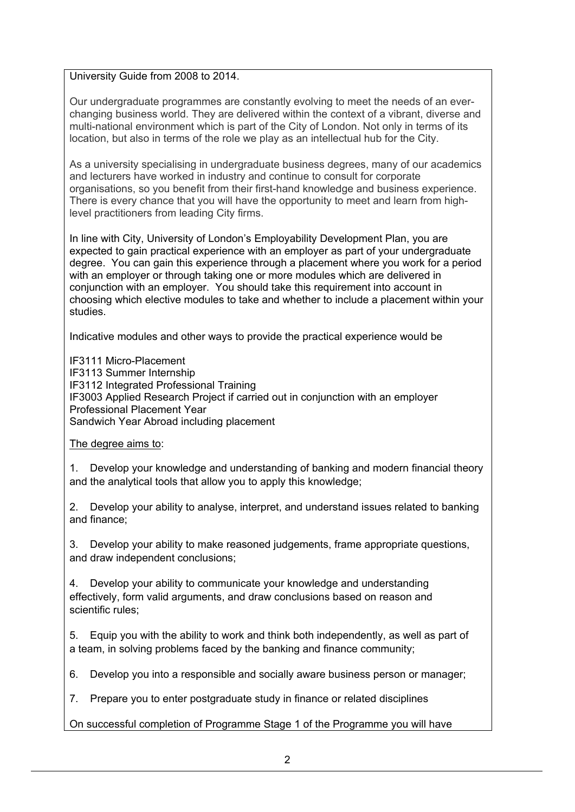### University Guide from 2008 to 2014.

Our undergraduate programmes are constantly evolving to meet the needs of an everchanging business world. They are delivered within the context of a vibrant, diverse and multi-national environment which is part of the City of London. Not only in terms of its location, but also in terms of the role we play as an intellectual hub for the City.

As a university specialising in undergraduate business degrees, many of our academics and lecturers have worked in industry and continue to consult for corporate organisations, so you benefit from their first-hand knowledge and business experience. There is every chance that you will have the opportunity to meet and learn from highlevel practitioners from leading City firms.

In line with City, University of London's Employability Development Plan, you are expected to gain practical experience with an employer as part of your undergraduate degree. You can gain this experience through a placement where you work for a period with an employer or through taking one or more modules which are delivered in conjunction with an employer. You should take this requirement into account in choosing which elective modules to take and whether to include a placement within your studies.

Indicative modules and other ways to provide the practical experience would be

IF3111 Micro-Placement IF3113 Summer Internship IF3112 Integrated Professional Training IF3003 Applied Research Project if carried out in conjunction with an employer Professional Placement Year Sandwich Year Abroad including placement

## The degree aims to:

1. Develop your knowledge and understanding of banking and modern financial theory and the analytical tools that allow you to apply this knowledge;

2. Develop your ability to analyse, interpret, and understand issues related to banking and finance;

3. Develop your ability to make reasoned judgements, frame appropriate questions, and draw independent conclusions;

4. Develop your ability to communicate your knowledge and understanding effectively, form valid arguments, and draw conclusions based on reason and scientific rules;

5. Equip you with the ability to work and think both independently, as well as part of a team, in solving problems faced by the banking and finance community;

6. Develop you into a responsible and socially aware business person or manager;

7. Prepare you to enter postgraduate study in finance or related disciplines

On successful completion of Programme Stage 1 of the Programme you will have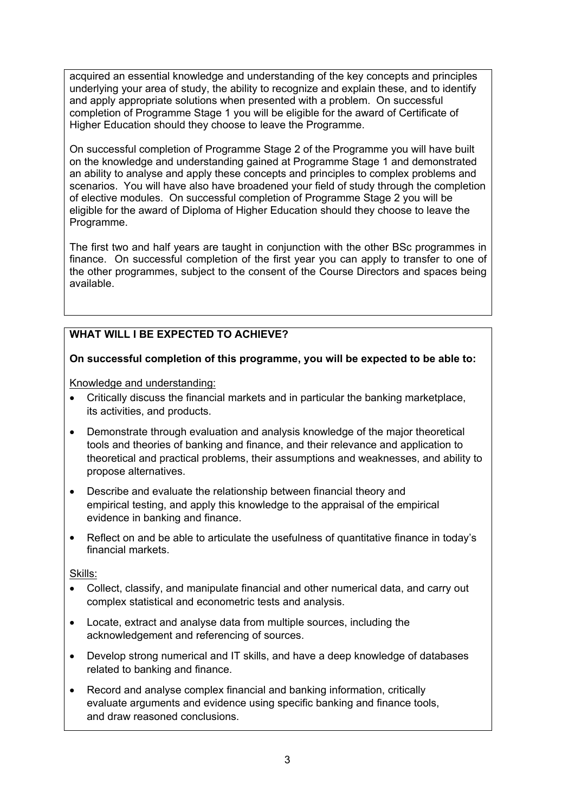acquired an essential knowledge and understanding of the key concepts and principles underlying your area of study, the ability to recognize and explain these, and to identify and apply appropriate solutions when presented with a problem. On successful completion of Programme Stage 1 you will be eligible for the award of Certificate of Higher Education should they choose to leave the Programme.

On successful completion of Programme Stage 2 of the Programme you will have built on the knowledge and understanding gained at Programme Stage 1 and demonstrated an ability to analyse and apply these concepts and principles to complex problems and scenarios. You will have also have broadened your field of study through the completion of elective modules. On successful completion of Programme Stage 2 you will be eligible for the award of Diploma of Higher Education should they choose to leave the Programme.

The first two and half years are taught in conjunction with the other BSc programmes in finance. On successful completion of the first year you can apply to transfer to one of the other programmes, subject to the consent of the Course Directors and spaces being available.

# **WHAT WILL I BE EXPECTED TO ACHIEVE?**

## **On successful completion of this programme, you will be expected to be able to:**

Knowledge and understanding:

- Critically discuss the financial markets and in particular the banking marketplace, its activities, and products.
- Demonstrate through evaluation and analysis knowledge of the major theoretical tools and theories of banking and finance, and their relevance and application to theoretical and practical problems, their assumptions and weaknesses, and ability to propose alternatives.
- Describe and evaluate the relationship between financial theory and empirical testing, and apply this knowledge to the appraisal of the empirical evidence in banking and finance.
- Reflect on and be able to articulate the usefulness of quantitative finance in today's financial markets.

Skills:

- Collect, classify, and manipulate financial and other numerical data, and carry out complex statistical and econometric tests and analysis.
- Locate, extract and analyse data from multiple sources, including the acknowledgement and referencing of sources.
- Develop strong numerical and IT skills, and have a deep knowledge of databases related to banking and finance.
- Record and analyse complex financial and banking information, critically evaluate arguments and evidence using specific banking and finance tools, and draw reasoned conclusions.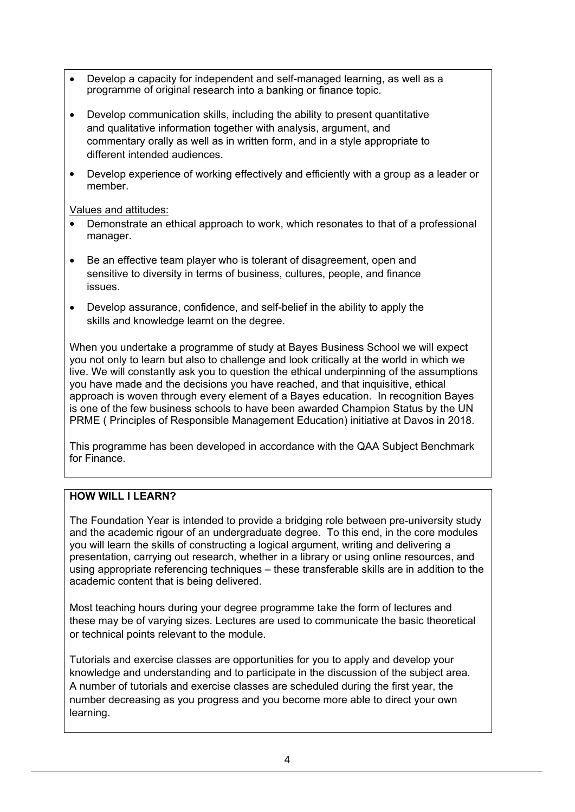- Develop a capacity for independent and self-managed learning, as well as a programme of original research into a banking or finance topic.
- Develop communication skills, including the ability to present quantitative and qualitative information together with analysis, argument, and commentary orally as well as in written form, and in a style appropriate to different intended audiences.
- Develop experience of working effectively and efficiently with a group as a leader or member.

Values and attitudes:

- Demonstrate an ethical approach to work, which resonates to that of a professional manager.
- Be an effective team player who is tolerant of disagreement, open and sensitive to diversity in terms of business, cultures, people, and finance issues.
- Develop assurance, confidence, and self-belief in the ability to apply the skills and knowledge learnt on the degree.

When you undertake a programme of study at Bayes Business School we will expect you not only to learn but also to challenge and look critically at the world in which we live. We will constantly ask you to question the ethical underpinning of the assumptions you have made and the decisions you have reached, and that inquisitive, ethical approach is woven through every element of a Bayes education. In recognition Bayes is one of the few business schools to have been awarded Champion Status by the UN PRME ( Principles of Responsible Management Education) initiative at Davos in 2018.

This programme has been developed in accordance with the QAA Subject Benchmark for Finance.

# **HOW WILL I LEARN?**

The Foundation Year is intended to provide a bridging role between pre-university study and the academic rigour of an undergraduate degree. To this end, in the core modules you will learn the skills of constructing a logical argument, writing and delivering a presentation, carrying out research, whether in a library or using online resources, and using appropriate referencing techniques – these transferable skills are in addition to the academic content that is being delivered.

Most teaching hours during your degree programme take the form of lectures and these may be of varying sizes. Lectures are used to communicate the basic theoretical or technical points relevant to the module.

Tutorials and exercise classes are opportunities for you to apply and develop your knowledge and understanding and to participate in the discussion of the subject area. A number of tutorials and exercise classes are scheduled during the first year, the number decreasing as you progress and you become more able to direct your own learning.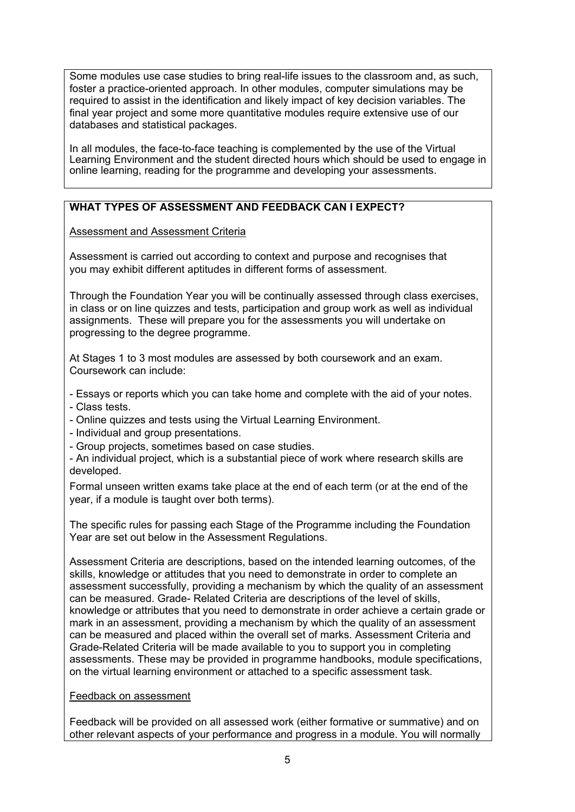Some modules use case studies to bring real-life issues to the classroom and, as such, foster a practice-oriented approach. In other modules, computer simulations may be required to assist in the identification and likely impact of key decision variables. The final year project and some more quantitative modules require extensive use of our databases and statistical packages.

In all modules, the face-to-face teaching is complemented by the use of the Virtual Learning Environment and the student directed hours which should be used to engage in online learning, reading for the programme and developing your assessments.

## **WHAT TYPES OF ASSESSMENT AND FEEDBACK CAN I EXPECT?**

Assessment and Assessment Criteria

Assessment is carried out according to context and purpose and recognises that you may exhibit different aptitudes in different forms of assessment.

Through the Foundation Year you will be continually assessed through class exercises, in class or on line quizzes and tests, participation and group work as well as individual assignments. These will prepare you for the assessments you will undertake on progressing to the degree programme.

At Stages 1 to 3 most modules are assessed by both coursework and an exam. Coursework can include:

- Essays or reports which you can take home and complete with the aid of your notes.

- Class tests.
- Online quizzes and tests using the Virtual Learning Environment.
- Individual and group presentations.
- Group projects, sometimes based on case studies.
- An individual project, which is a substantial piece of work where research skills are developed.

Formal unseen written exams take place at the end of each term (or at the end of the year, if a module is taught over both terms).

The specific rules for passing each Stage of the Programme including the Foundation Year are set out below in the Assessment Regulations.

Assessment Criteria are descriptions, based on the intended learning outcomes, of the skills, knowledge or attitudes that you need to demonstrate in order to complete an assessment successfully, providing a mechanism by which the quality of an assessment can be measured. Grade- Related Criteria are descriptions of the level of skills, knowledge or attributes that you need to demonstrate in order achieve a certain grade or mark in an assessment, providing a mechanism by which the quality of an assessment can be measured and placed within the overall set of marks. Assessment Criteria and Grade-Related Criteria will be made available to you to support you in completing assessments. These may be provided in programme handbooks, module specifications, on the virtual learning environment or attached to a specific assessment task*.*

### Feedback on assessment

Feedback will be provided on all assessed work (either formative or summative) and on other relevant aspects of your performance and progress in a module. You will normally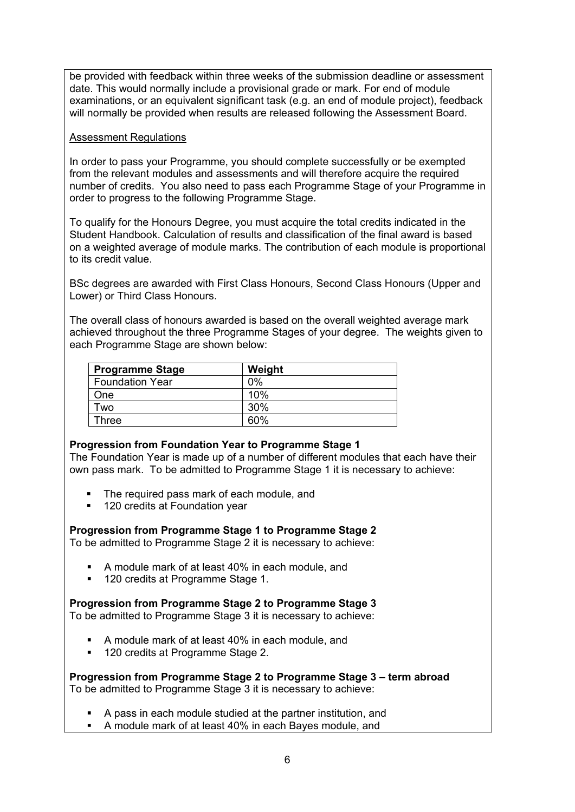be provided with feedback within three weeks of the submission deadline or assessment date. This would normally include a provisional grade or mark. For end of module examinations, or an equivalent significant task (e.g. an end of module project), feedback will normally be provided when results are released following the Assessment Board.

### Assessment Regulations

In order to pass your Programme, you should complete successfully or be exempted from the relevant modules and assessments and will therefore acquire the required number of credits. You also need to pass each Programme Stage of your Programme in order to progress to the following Programme Stage.

To qualify for the Honours Degree, you must acquire the total credits indicated in the Student Handbook. Calculation of results and classification of the final award is based on a weighted average of module marks. The contribution of each module is proportional to its credit value.

BSc degrees are awarded with First Class Honours, Second Class Honours (Upper and Lower) or Third Class Honours.

The overall class of honours awarded is based on the overall weighted average mark achieved throughout the three Programme Stages of your degree. The weights given to each Programme Stage are shown below:

| <b>Programme Stage</b> | Weight |
|------------------------|--------|
| <b>Foundation Year</b> | 0%     |
| One                    | 10%    |
| Two                    | 30%    |
| Three                  | 60%    |

### **Progression from Foundation Year to Programme Stage 1**

The Foundation Year is made up of a number of different modules that each have their own pass mark. To be admitted to Programme Stage 1 it is necessary to achieve:

- The required pass mark of each module, and
- 120 credits at Foundation year

### **Progression from Programme Stage 1 to Programme Stage 2**

To be admitted to Programme Stage 2 it is necessary to achieve:

- A module mark of at least 40% in each module, and
- **120 credits at Programme Stage 1.**

### **Progression from Programme Stage 2 to Programme Stage 3**

To be admitted to Programme Stage 3 it is necessary to achieve:

- A module mark of at least 40% in each module, and
- **120 credits at Programme Stage 2.**

**Progression from Programme Stage 2 to Programme Stage 3 – term abroad** To be admitted to Programme Stage 3 it is necessary to achieve:

- A pass in each module studied at the partner institution, and
- A module mark of at least 40% in each Bayes module, and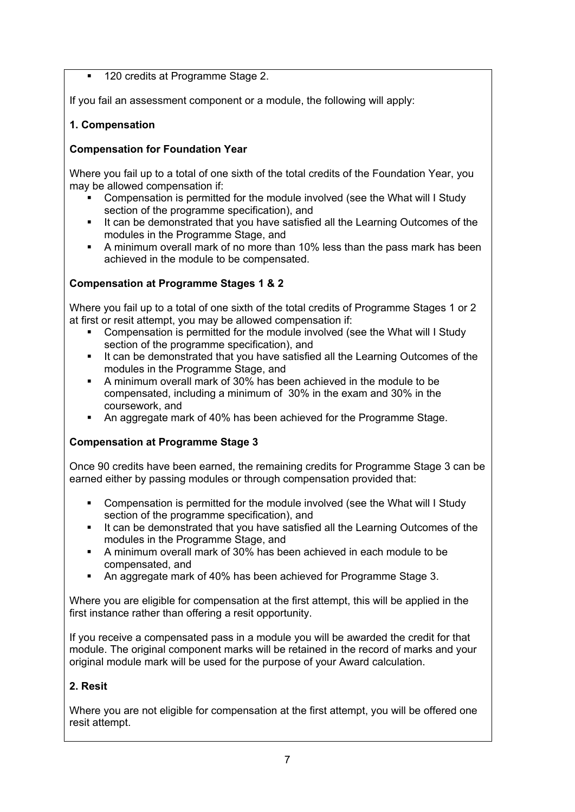## **120 credits at Programme Stage 2.**

If you fail an assessment component or a module, the following will apply:

## **1. Compensation**

## **Compensation for Foundation Year**

Where you fail up to a total of one sixth of the total credits of the Foundation Year, you may be allowed compensation if:

- Compensation is permitted for the module involved (see the What will I Study section of the programme specification), and
- It can be demonstrated that you have satisfied all the Learning Outcomes of the modules in the Programme Stage, and
- A minimum overall mark of no more than 10% less than the pass mark has been achieved in the module to be compensated.

## **Compensation at Programme Stages 1 & 2**

Where you fail up to a total of one sixth of the total credits of Programme Stages 1 or 2 at first or resit attempt, you may be allowed compensation if:

- Compensation is permitted for the module involved (see the What will I Study section of the programme specification), and
- It can be demonstrated that you have satisfied all the Learning Outcomes of the modules in the Programme Stage, and
- A minimum overall mark of 30% has been achieved in the module to be compensated, including a minimum of 30% in the exam and 30% in the coursework, and
- An aggregate mark of 40% has been achieved for the Programme Stage.

## **Compensation at Programme Stage 3**

Once 90 credits have been earned, the remaining credits for Programme Stage 3 can be earned either by passing modules or through compensation provided that:

- Compensation is permitted for the module involved (see the What will I Study section of the programme specification), and
- It can be demonstrated that you have satisfied all the Learning Outcomes of the modules in the Programme Stage, and
- A minimum overall mark of 30% has been achieved in each module to be compensated, and
- An aggregate mark of 40% has been achieved for Programme Stage 3.

Where you are eligible for compensation at the first attempt, this will be applied in the first instance rather than offering a resit opportunity.

If you receive a compensated pass in a module you will be awarded the credit for that module. The original component marks will be retained in the record of marks and your original module mark will be used for the purpose of your Award calculation.

## **2. Resit**

Where you are not eligible for compensation at the first attempt, you will be offered one resit attempt.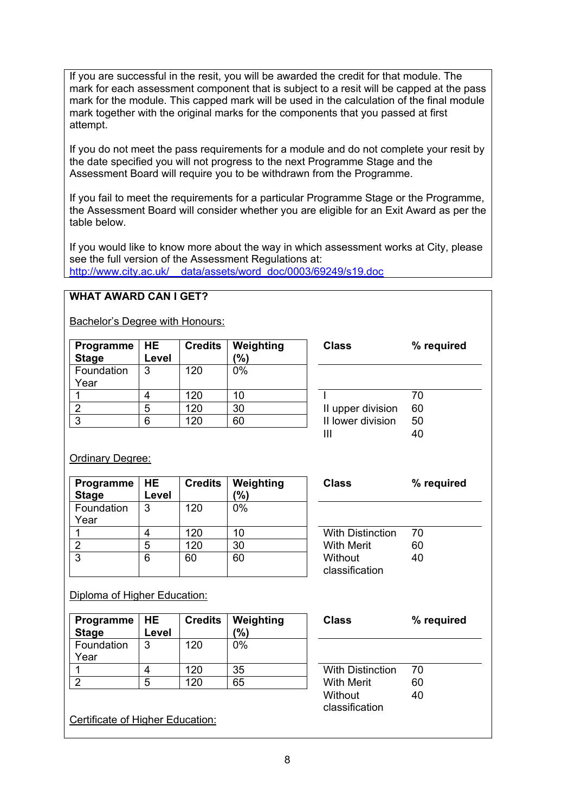If you are successful in the resit, you will be awarded the credit for that module. The mark for each assessment component that is subject to a resit will be capped at the pass mark for the module. This capped mark will be used in the calculation of the final module mark together with the original marks for the components that you passed at first attempt.

If you do not meet the pass requirements for a module and do not complete your resit by the date specified you will not progress to the next Programme Stage and the Assessment Board will require you to be withdrawn from the Programme.

If you fail to meet the requirements for a particular Programme Stage or the Programme, the Assessment Board will consider whether you are eligible for an Exit Award as per the table below.

If you would like to know more about the way in which assessment works at City, please see the full version of the Assessment Regulations at: [http://www.city.ac.uk/\\_\\_data/assets/word\\_doc/0003/69249/s19.doc](http://www.city.ac.uk/__data/assets/word_doc/0003/69249/s19.doc)

## **WHAT AWARD CAN I GET?**

Bachelor's Degree with Honours:

| Programme<br><b>Stage</b> | <b>HE</b><br>Level | <b>Credits</b> | Weighting<br>(%) | <b>Class</b>      | % required |
|---------------------------|--------------------|----------------|------------------|-------------------|------------|
| Foundation                | 3                  | 120            | 0%               |                   |            |
| Year                      |                    |                |                  |                   |            |
|                           |                    | 120            | 10               |                   | 70         |
|                           | 5                  | 120            | 30               | II upper division | 60         |
| 3                         | 6                  | 120            | 60               | II lower division | 50         |
|                           |                    |                |                  | Ш                 | 40         |

### **Ordinary Degree:**

| Programme    | <b>HE</b> | <b>Credits</b> | Weighting | <b>Class</b>            | $\%$ |
|--------------|-----------|----------------|-----------|-------------------------|------|
| <b>Stage</b> | Level     |                | (%)       |                         |      |
| Foundation   | 3         | 120            | $0\%$     |                         |      |
| Year         |           |                |           |                         |      |
|              |           | 120            | 10        | <b>With Distinction</b> | 70   |
|              | 5         | 120            | 30        | <b>With Merit</b>       | 60   |
| 3            | 6         | 60             | 60        | Without                 | 40   |
|              |           |                |           | classification          |      |

| <b>With Distinction</b> | 70 |  |
|-------------------------|----|--|
| <b>With Merit</b>       | 60 |  |
| Without                 | 40 |  |
| classification          |    |  |

**Class % required**

Diploma of Higher Education:

| <b>Programme</b><br><b>Stage</b> | I HE<br>Level | <b>Credits</b> | Weighting<br>$\frac{10}{6}$ | <b>Class</b>            | $\%$ |
|----------------------------------|---------------|----------------|-----------------------------|-------------------------|------|
| Foundation                       | 3             | 120            | 0%                          |                         |      |
| Year                             |               |                |                             |                         |      |
|                                  | 4             | 120            | 35                          | <b>With Distinction</b> | 70   |
| റ                                | 5             | 120            | 65                          | <b>With Merit</b>       | 60   |
|                                  |               |                |                             | tı ındtin               | ⊿∩   |

|  | Certificate of Higher Education: |
|--|----------------------------------|
|  |                                  |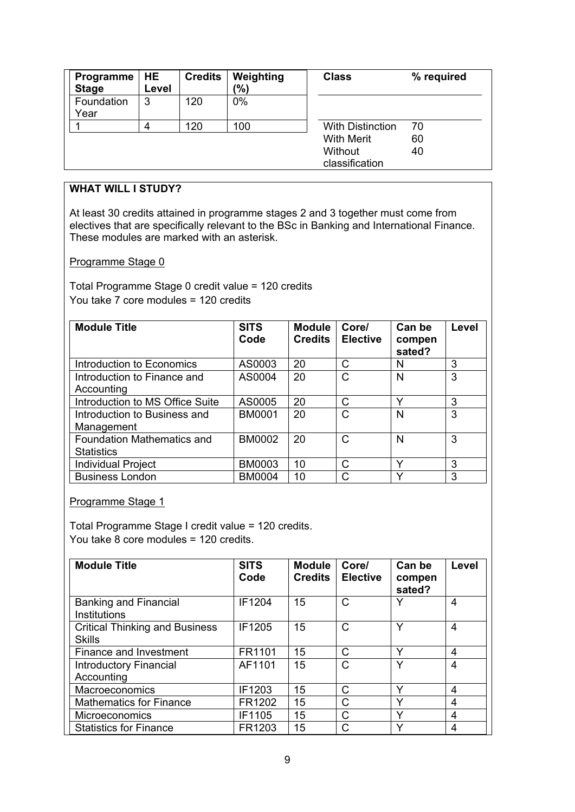| Programme<br><b>Stage</b> | HE<br>Level | <b>Credits</b> | Weighting<br>(%) | <b>Class</b>              | % required |
|---------------------------|-------------|----------------|------------------|---------------------------|------------|
| Foundation<br>Year        | 3           | 120            | $0\%$            |                           |            |
|                           | 4           | 120            | 100              | <b>With Distinction</b>   | 70         |
|                           |             |                |                  | <b>With Merit</b>         | 60         |
|                           |             |                |                  | Without<br>classification | 40         |

# **WHAT WILL I STUDY?**

At least 30 credits attained in programme stages 2 and 3 together must come from electives that are specifically relevant to the BSc in Banking and International Finance. These modules are marked with an asterisk.

#### Programme Stage 0

Total Programme Stage 0 credit value = 120 credits You take 7 core modules = 120 credits

| <b>Module Title</b>                             | <b>SITS</b><br>Code | <b>Module</b><br><b>Credits</b> | Core/<br><b>Elective</b> | Can be<br>compen<br>sated? | Level |
|-------------------------------------------------|---------------------|---------------------------------|--------------------------|----------------------------|-------|
| Introduction to Economics                       | AS0003              | 20                              | С                        | N                          | 3     |
| Introduction to Finance and<br>Accounting       | AS0004              | 20                              | С                        | N                          | 3     |
| Introduction to MS Office Suite                 | AS0005              | 20                              | С                        | Y                          | 3     |
| Introduction to Business and<br>Management      | <b>BM0001</b>       | 20                              | C                        | N                          | 3     |
| Foundation Mathematics and<br><b>Statistics</b> | <b>BM0002</b>       | 20                              | С                        | N                          | 3     |
| <b>Individual Project</b>                       | <b>BM0003</b>       | 10                              | C                        | Y                          | 3     |
| <b>Business London</b>                          | <b>BM0004</b>       | 10                              | C                        | $\checkmark$               | 3     |

Programme Stage 1

Total Programme Stage I credit value = 120 credits. You take 8 core modules = 120 credits.

| <b>Module Title</b>                                    | <b>SITS</b><br>Code | <b>Module</b><br><b>Credits</b> | Core/<br><b>Elective</b> | Can be<br>compen<br>sated? | Level |
|--------------------------------------------------------|---------------------|---------------------------------|--------------------------|----------------------------|-------|
| Banking and Financial<br><b>Institutions</b>           | <b>IF1204</b>       | 15                              | $\mathsf{C}$             | ∨                          | 4     |
| <b>Critical Thinking and Business</b><br><b>Skills</b> | IF1205              | 15                              | C                        | $\checkmark$               | 4     |
| Finance and Investment                                 | FR1101              | 15                              | C                        | ٧                          | 4     |
| <b>Introductory Financial</b><br>Accounting            | AF1101              | 15                              | $\mathsf{C}$             | $\checkmark$               | 4     |
| Macroeconomics                                         | IF1203              | 15                              | C                        | Υ                          | 4     |
| <b>Mathematics for Finance</b>                         | FR1202              | 15                              | C                        | $\checkmark$               | 4     |
| <b>Microeconomics</b>                                  | IF1105              | 15                              | $\mathsf{C}$             | Υ                          | 4     |
| <b>Statistics for Finance</b>                          | FR1203              | 15                              |                          | $\checkmark$               | 4     |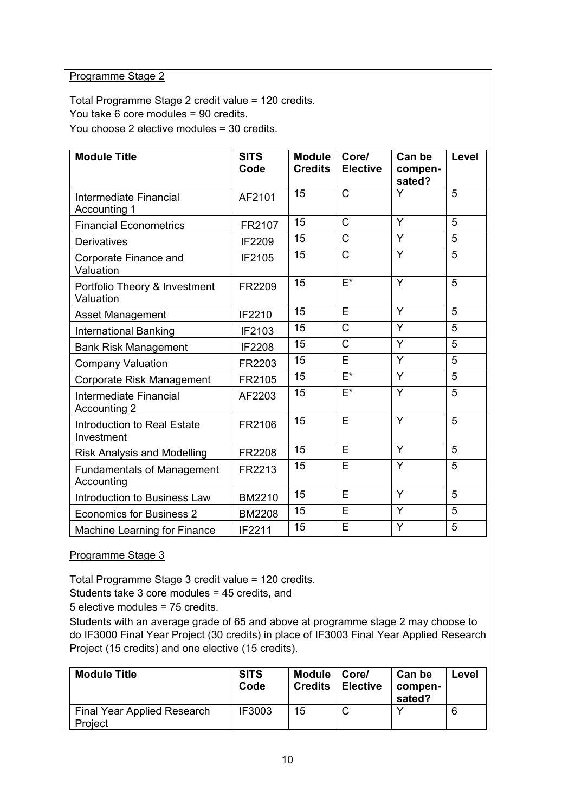### Programme Stage 2

Total Programme Stage 2 credit value = 120 credits. You take 6 core modules = 90 credits. You choose 2 elective modules = 30 credits.

| <b>Module Title</b>                              | <b>SITS</b><br>Code | <b>Module</b><br><b>Credits</b> | Core/<br><b>Elective</b>  | Can be<br>compen-<br>sated? | <b>Level</b> |
|--------------------------------------------------|---------------------|---------------------------------|---------------------------|-----------------------------|--------------|
| Intermediate Financial<br>Accounting 1           | AF2101              | 15                              | $\overline{C}$            | Y                           | 5            |
| <b>Financial Econometrics</b>                    | FR2107              | 15                              | $\mathsf{C}$              | Y                           | 5            |
| <b>Derivatives</b>                               | IF2209              | 15                              | $\mathsf{C}$              | Y                           | 5            |
| Corporate Finance and<br>Valuation               | IF2105              | 15                              | $\mathsf{C}$              | Y                           | 5            |
| Portfolio Theory & Investment<br>Valuation       | FR2209              | 15                              | $F^*$                     | Y                           | 5            |
| Asset Management                                 | IF2210              | 15                              | Ē                         | Y                           | 5            |
| <b>International Banking</b>                     | IF2103              | 15                              | $\overline{\text{C}}$     | $\overline{\mathsf{Y}}$     | 5            |
| <b>Bank Risk Management</b>                      | IF2208              | 15                              | $\overline{C}$            | Y                           | 5            |
| <b>Company Valuation</b>                         | FR2203              | 15                              | E                         | Y                           | 5            |
| Corporate Risk Management                        | FR2105              | 15                              | $\overline{\mathsf{E}^*}$ | Y                           | 5            |
| Intermediate Financial<br>Accounting 2           | AF2203              | 15                              | $E^*$                     | Y                           | 5            |
| <b>Introduction to Real Estate</b><br>Investment | FR2106              | 15                              | E                         | Y                           | 5            |
| <b>Risk Analysis and Modelling</b>               | FR2208              | 15                              | E                         | Y                           | 5            |
| <b>Fundamentals of Management</b><br>Accounting  | FR2213              | 15                              | E                         | Y                           | 5            |
| Introduction to Business Law                     | BM2210              | 15                              | E                         | Y                           | 5            |
| <b>Economics for Business 2</b>                  | <b>BM2208</b>       | 15                              | E                         | Y                           | 5            |
| Machine Learning for Finance                     | IF2211              | 15                              | E                         | Y                           | 5            |

## Programme Stage 3

Total Programme Stage 3 credit value = 120 credits.

Students take 3 core modules = 45 credits, and

5 elective modules = 75 credits.

Students with an average grade of 65 and above at programme stage 2 may choose to do IF3000 Final Year Project (30 credits) in place of IF3003 Final Year Applied Research Project (15 credits) and one elective (15 credits).

| <b>Module Title</b>                    | <b>SITS</b><br>Code | Module<br><b>Credits</b> | Core/<br><b>Elective</b> | Can be<br>compen-<br>sated? | Level |
|----------------------------------------|---------------------|--------------------------|--------------------------|-----------------------------|-------|
| Final Year Applied Research<br>Project | <b>IF3003</b>       | 15                       |                          |                             | 6     |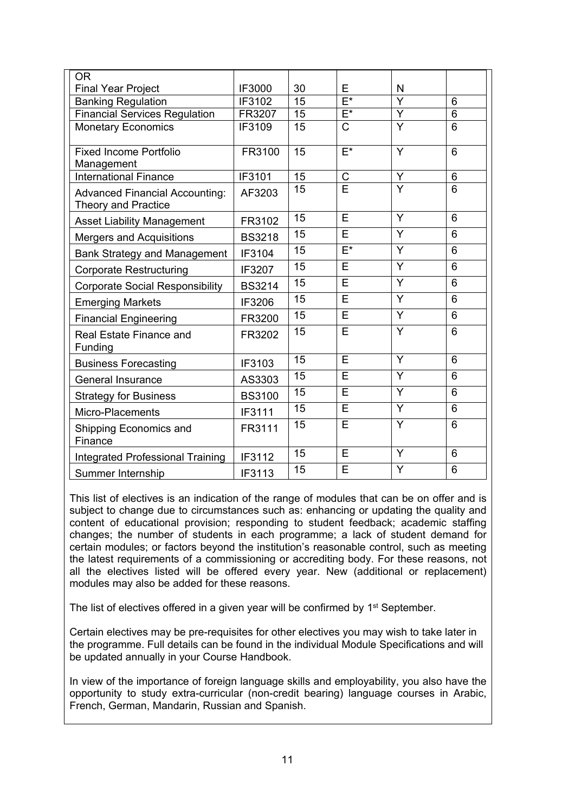| <b>OR</b>                               |               |    |                           |                         |                 |
|-----------------------------------------|---------------|----|---------------------------|-------------------------|-----------------|
| <b>Final Year Project</b>               | IF3000        | 30 | E                         | N                       |                 |
| <b>Banking Regulation</b>               | IF3102        | 15 | $\overline{\mathsf{E}^*}$ | $\overline{\mathsf{Y}}$ | 6               |
| <b>Financial Services Regulation</b>    | FR3207        | 15 | $E^*$                     | Y                       | $6\phantom{1}$  |
| <b>Monetary Economics</b>               | IF3109        | 15 | $\overline{\text{C}}$     | $\overline{\mathsf{Y}}$ | 6               |
|                                         |               |    |                           |                         |                 |
| <b>Fixed Income Portfolio</b>           | FR3100        | 15 | $E^*$                     | Y                       | $6\phantom{1}6$ |
| Management                              |               |    |                           |                         |                 |
| <b>International Finance</b>            | <b>IF3101</b> | 15 | $\overline{\text{C}}$     | Y                       | $6\phantom{1}6$ |
| <b>Advanced Financial Accounting:</b>   | AF3203        | 15 | Ē                         | $\overline{Y}$          | $6\phantom{1}6$ |
| <b>Theory and Practice</b>              |               |    |                           |                         |                 |
| <b>Asset Liability Management</b>       | FR3102        | 15 | E                         | Y                       | 6               |
| <b>Mergers and Acquisitions</b>         | <b>BS3218</b> | 15 | E                         | Y                       | 6               |
| <b>Bank Strategy and Management</b>     | IF3104        | 15 | $F^*$                     | Y                       | 6               |
| <b>Corporate Restructuring</b>          | IF3207        | 15 | $\overline{\mathsf{E}}$   | $\overline{Y}$          | $6\phantom{1}6$ |
| <b>Corporate Social Responsibility</b>  | <b>BS3214</b> | 15 | $\overline{\mathsf{E}}$   | $\overline{Y}$          | $6\phantom{1}6$ |
| <b>Emerging Markets</b>                 | IF3206        | 15 | E                         | Y                       | $6\phantom{1}6$ |
| <b>Financial Engineering</b>            | FR3200        | 15 | E                         | Y                       | 6               |
| <b>Real Estate Finance and</b>          | FR3202        | 15 | E                         | Y                       | $6\phantom{1}$  |
| Funding                                 |               |    |                           |                         |                 |
| <b>Business Forecasting</b>             | IF3103        | 15 | $\overline{\mathsf{E}}$   | Y                       | $6\phantom{1}6$ |
| <b>General Insurance</b>                | AS3303        | 15 | E                         | Y                       | 6               |
| <b>Strategy for Business</b>            | <b>BS3100</b> | 15 | E                         | Y                       | 6               |
| Micro-Placements                        | IF3111        | 15 | E                         | Y                       | 6               |
| Shipping Economics and                  | FR3111        | 15 | E                         | Y                       | 6               |
| Finance                                 |               |    |                           |                         |                 |
| <b>Integrated Professional Training</b> | IF3112        | 15 | E                         | Y                       | 6               |
| Summer Internship                       | IF3113        | 15 | E                         | Y                       | 6               |

This list of electives is an indication of the range of modules that can be on offer and is subject to change due to circumstances such as: enhancing or updating the quality and content of educational provision; responding to student feedback; academic staffing changes; the number of students in each programme; a lack of student demand for certain modules; or factors beyond the institution's reasonable control, such as meeting the latest requirements of a commissioning or accrediting body. For these reasons, not all the electives listed will be offered every year. New (additional or replacement) modules may also be added for these reasons.

The list of electives offered in a given year will be confirmed by 1<sup>st</sup> September.

Certain electives may be pre-requisites for other electives you may wish to take later in the programme. Full details can be found in the individual Module Specifications and will be updated annually in your Course Handbook.

In view of the importance of foreign language skills and employability, you also have the opportunity to study extra-curricular (non-credit bearing) language courses in Arabic, French, German, Mandarin, Russian and Spanish.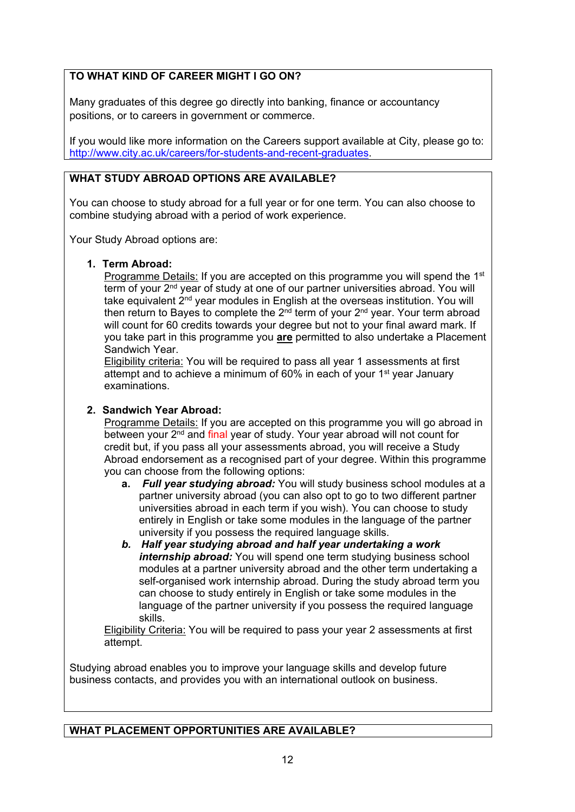## **TO WHAT KIND OF CAREER MIGHT I GO ON?**

Many graduates of this degree go directly into banking, finance or accountancy positions, or to careers in government or commerce.

If you would like more information on the Careers support available at City, please go to: [http://www.city.ac.uk/careers/for-students-and-recent-graduates.](http://www.city.ac.uk/careers/for-students-and-recent-graduates)

# **WHAT STUDY ABROAD OPTIONS ARE AVAILABLE?**

You can choose to study abroad for a full year or for one term. You can also choose to combine studying abroad with a period of work experience.

Your Study Abroad options are:

#### **1. Term Abroad:**

Programme Details: If you are accepted on this programme you will spend the 1<sup>st</sup> term of your 2<sup>nd</sup> year of study at one of our partner universities abroad. You will take equivalent 2<sup>nd</sup> year modules in English at the overseas institution. You will then return to Bayes to complete the  $2<sup>nd</sup>$  term of your  $2<sup>nd</sup>$  year. Your term abroad will count for 60 credits towards your degree but not to your final award mark. If you take part in this programme you **are** permitted to also undertake a Placement Sandwich Year.

Eligibility criteria: You will be required to pass all year 1 assessments at first attempt and to achieve a minimum of 60% in each of your 1<sup>st</sup> year January examinations.

### **2. Sandwich Year Abroad:**

Programme Details: If you are accepted on this programme you will go abroad in between your 2<sup>nd</sup> and final year of study. Your year abroad will not count for credit but, if you pass all your assessments abroad, you will receive a Study Abroad endorsement as a recognised part of your degree. Within this programme you can choose from the following options:

- **a.** *Full year studying abroad:* You will study business school modules at a partner university abroad (you can also opt to go to two different partner universities abroad in each term if you wish). You can choose to study entirely in English or take some modules in the language of the partner university if you possess the required language skills.
- *b. Half year studying abroad and half year undertaking a work internship abroad:* You will spend one term studying business school modules at a partner university abroad and the other term undertaking a self-organised work internship abroad. During the study abroad term you can choose to study entirely in English or take some modules in the language of the partner university if you possess the required language skills.

Eligibility Criteria: You will be required to pass your year 2 assessments at first attempt.

Studying abroad enables you to improve your language skills and develop future business contacts, and provides you with an international outlook on business.

## **WHAT PLACEMENT OPPORTUNITIES ARE AVAILABLE?**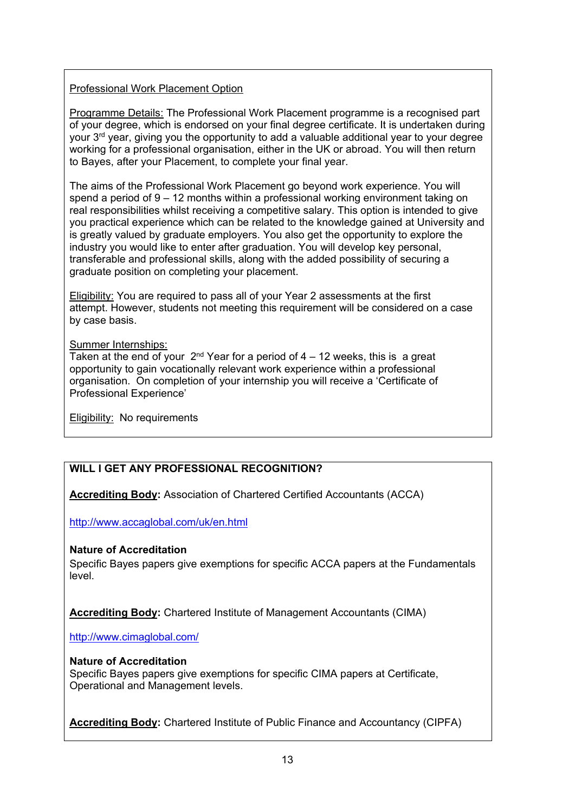## Professional Work Placement Option

Programme Details: The Professional Work Placement programme is a recognised part of your degree, which is endorsed on your final degree certificate. It is undertaken during your 3<sup>rd</sup> year, giving you the opportunity to add a valuable additional year to your degree working for a professional organisation, either in the UK or abroad. You will then return to Bayes, after your Placement, to complete your final year.

The aims of the Professional Work Placement go beyond work experience. You will spend a period of 9 – 12 months within a professional working environment taking on real responsibilities whilst receiving a competitive salary. This option is intended to give you practical experience which can be related to the knowledge gained at University and is greatly valued by graduate employers. You also get the opportunity to explore the industry you would like to enter after graduation. You will develop key personal, transferable and professional skills, along with the added possibility of securing a graduate position on completing your placement.

Eligibility: You are required to pass all of your Year 2 assessments at the first attempt. However, students not meeting this requirement will be considered on a case by case basis.

### Summer Internships:

Taken at the end of your  $2<sup>nd</sup>$  Year for a period of 4 – 12 weeks, this is a great opportunity to gain vocationally relevant work experience within a professional organisation. On completion of your internship you will receive a 'Certificate of Professional Experience'

Eligibility: No requirements

# **WILL I GET ANY PROFESSIONAL RECOGNITION?**

**Accrediting Body:** Association of Chartered Certified Accountants (ACCA)

<http://www.accaglobal.com/uk/en.html>

### **Nature of Accreditation**

Specific Bayes papers give exemptions for specific ACCA papers at the Fundamentals level.

**Accrediting Body:** Chartered Institute of Management Accountants (CIMA)

<http://www.cimaglobal.com/>

### **Nature of Accreditation**

Specific Bayes papers give exemptions for specific CIMA papers at Certificate, Operational and Management levels.

**Accrediting Body:** Chartered Institute of Public Finance and Accountancy (CIPFA)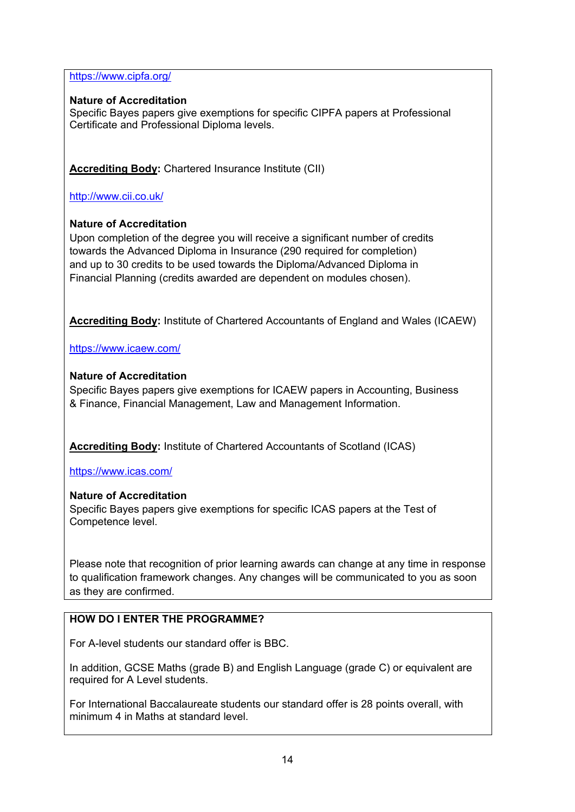<https://www.cipfa.org/>

### **Nature of Accreditation**

Specific Bayes papers give exemptions for specific CIPFA papers at Professional Certificate and Professional Diploma levels.

**Accrediting Body:** Chartered Insurance Institute (CII)

<http://www.cii.co.uk/>

### **Nature of Accreditation**

Upon completion of the degree you will receive a significant number of credits towards the Advanced Diploma in Insurance (290 required for completion) and up to 30 credits to be used towards the Diploma/Advanced Diploma in Financial Planning (credits awarded are dependent on modules chosen).

**Accrediting Body:** Institute of Chartered Accountants of England and Wales (ICAEW)

<https://www.icaew.com/>

### **Nature of Accreditation**

Specific Bayes papers give exemptions for ICAEW papers in Accounting, Business & Finance, Financial Management, Law and Management Information.

**Accrediting Body:** Institute of Chartered Accountants of Scotland (ICAS)

<https://www.icas.com/>

### **Nature of Accreditation**

Specific Bayes papers give exemptions for specific ICAS papers at the Test of Competence level.

Please note that recognition of prior learning awards can change at any time in response to qualification framework changes. Any changes will be communicated to you as soon as they are confirmed.

## **HOW DO I ENTER THE PROGRAMME?**

For A-level students our standard offer is BBC.

In addition, GCSE Maths (grade B) and English Language (grade C) or equivalent are required for A Level students.

For International Baccalaureate students our standard offer is 28 points overall, with minimum 4 in Maths at standard level.